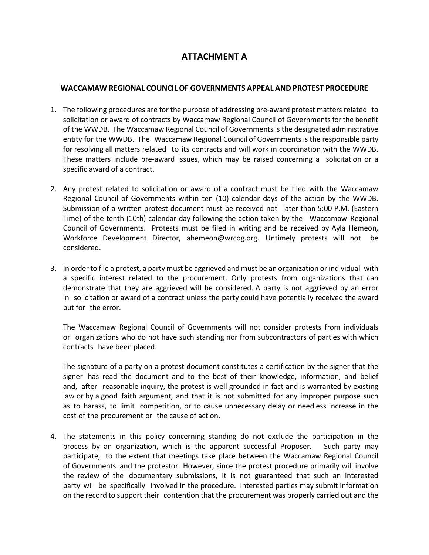## **ATTACHMENT A**

## **WACCAMAW REGIONAL COUNCIL OF GOVERNMENTS APPEAL AND PROTEST PROCEDURE**

- 1. The following procedures are for the purpose of addressing pre-award protest matters related to solicitation or award of contracts by Waccamaw Regional Council of Governments for the benefit of the WWDB. The Waccamaw Regional Council of Governments is the designated administrative entity for the WWDB. The Waccamaw Regional Council of Governments is the responsible party for resolving all matters related to its contracts and will work in coordination with the WWDB. These matters include pre-award issues, which may be raised concerning a solicitation or a specific award of a contract.
- 2. Any protest related to solicitation or award of a contract must be filed with the Waccamaw Regional Council of Governments within ten (10) calendar days of the action by the WWDB. Submission of a written protest document must be received not later than 5:00 P.M. (Eastern Time) of the tenth (10th) calendar day following the action taken by the Waccamaw Regional Council of Governments. Protests must be filed in writing and be received by Ayla Hemeon, Workforce Development Director, [ahemeon@wrcog.org.](mailto:ahemeon@wrcog.org) Untimely protests will not be considered.
- 3. In order to file a protest, a party must be aggrieved and must be an organization or individual with a specific interest related to the procurement. Only protests from organizations that can demonstrate that they are aggrieved will be considered. A party is not aggrieved by an error in solicitation or award of a contract unless the party could have potentially received the award but for the error.

The Waccamaw Regional Council of Governments will not consider protests from individuals or organizations who do not have such standing nor from subcontractors of parties with which contracts have been placed.

The signature of a party on a protest document constitutes a certification by the signer that the signer has read the document and to the best of their knowledge, information, and belief and, after reasonable inquiry, the protest is well grounded in fact and is warranted by existing law or by a good faith argument, and that it is not submitted for any improper purpose such as to harass, to limit competition, or to cause unnecessary delay or needless increase in the cost of the procurement or the cause of action.

4. The statements in this policy concerning standing do not exclude the participation in the process by an organization, which is the apparent successful Proposer. Such party may participate, to the extent that meetings take place between the Waccamaw Regional Council of Governments and the protestor. However, since the protest procedure primarily will involve the review of the documentary submissions, it is not guaranteed that such an interested party will be specifically involved in the procedure. Interested parties may submit information on the record to support their contention that the procurement was properly carried out and the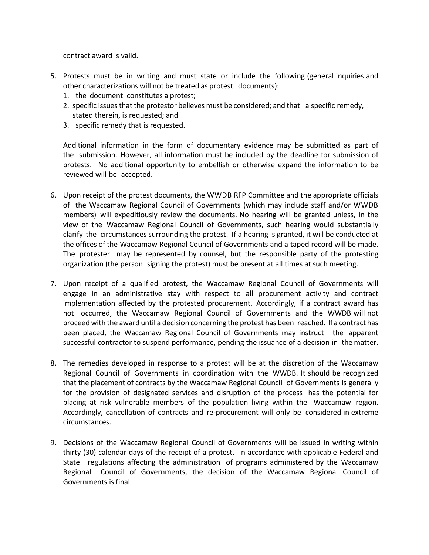contract award is valid.

- 5. Protests must be in writing and must state or include the following (general inquiries and other characterizations will not be treated as protest documents):
	- 1. the document constitutes a protest;
	- 2. specific issues that the protestor believes must be considered; and that a specific remedy, stated therein, is requested; and
	- 3. specific remedy that is requested.

Additional information in the form of documentary evidence may be submitted as part of the submission. However, all information must be included by the deadline for submission of protests. No additional opportunity to embellish or otherwise expand the information to be reviewed will be accepted.

- 6. Upon receipt of the protest documents, the WWDB RFP Committee and the appropriate officials of the Waccamaw Regional Council of Governments (which may include staff and/or WWDB members) will expeditiously review the documents. No hearing will be granted unless, in the view of the Waccamaw Regional Council of Governments, such hearing would substantially clarify the circumstances surrounding the protest. If a hearing is granted, it will be conducted at the offices of the Waccamaw Regional Council of Governments and a taped record will be made. The protester may be represented by counsel, but the responsible party of the protesting organization (the person signing the protest) must be present at all times at such meeting.
- 7. Upon receipt of a qualified protest, the Waccamaw Regional Council of Governments will engage in an administrative stay with respect to all procurement activity and contract implementation affected by the protested procurement. Accordingly, if a contract award has not occurred, the Waccamaw Regional Council of Governments and the WWDB will not proceed with the award until a decision concerning the protest has been reached. If a contract has been placed, the Waccamaw Regional Council of Governments may instruct the apparent successful contractor to suspend performance, pending the issuance of a decision in the matter.
- 8. The remedies developed in response to a protest will be at the discretion of the Waccamaw Regional Council of Governments in coordination with the WWDB. It should be recognized that the placement of contracts by the Waccamaw Regional Council of Governments is generally for the provision of designated services and disruption of the process has the potential for placing at risk vulnerable members of the population living within the Waccamaw region. Accordingly, cancellation of contracts and re-procurement will only be considered in extreme circumstances.
- 9. Decisions of the Waccamaw Regional Council of Governments will be issued in writing within thirty (30) calendar days of the receipt of a protest. In accordance with applicable Federal and State regulations affecting the administration of programs administered by the Waccamaw Regional Council of Governments, the decision of the Waccamaw Regional Council of Governments is final.